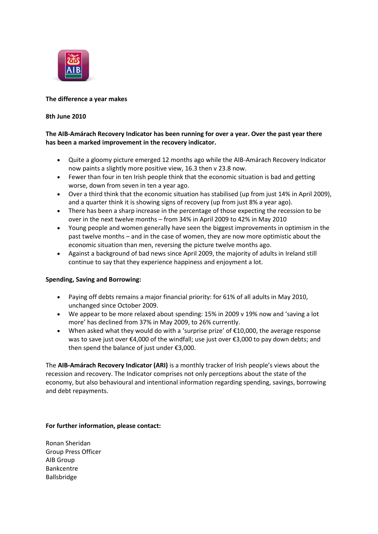

### **The difference a year makes**

### **8th June 2010**

# **The AIB-Amárach Recovery Indicator has been running for over a year. Over the past year there has been a marked improvement in the recovery indicator.**

- Quite a gloomy picture emerged 12 months ago while the AIB-Amárach Recovery Indicator now paints a slightly more positive view, 16.3 then v 23.8 now.
- Fewer than four in ten Irish people think that the economic situation is bad and getting worse, down from seven in ten a year ago.
- Over a third think that the economic situation has stabilised (up from just 14% in April 2009), and a quarter think it is showing signs of recovery (up from just 8% a year ago).
- There has been a sharp increase in the percentage of those expecting the recession to be over in the next twelve months – from 34% in April 2009 to 42% in May 2010
- Young people and women generally have seen the biggest improvements in optimism in the past twelve months – and in the case of women, they are now more optimistic about the economic situation than men, reversing the picture twelve months ago.
- Against a background of bad news since April 2009, the majority of adults in Ireland still continue to say that they experience happiness and enjoyment a lot.

### **Spending, Saving and Borrowing:**

- Paying off debts remains a major financial priority: for 61% of all adults in May 2010, unchanged since October 2009.
- We appear to be more relaxed about spending: 15% in 2009 v 19% now and 'saving a lot more' has declined from 37% in May 2009, to 26% currently.
- When asked what they would do with a 'surprise prize' of  $E10,000$ , the average response was to save just over €4,000 of the windfall; use just over €3,000 to pay down debts; and then spend the balance of just under €3,000.

The **AIB-Amárach Recovery Indicator (ARI)** is a monthly tracker of Irish people's views about the recession and recovery. The Indicator comprises not only perceptions about the state of the economy, but also behavioural and intentional information regarding spending, savings, borrowing and debt repayments.

# **For further information, please contact:**

Ronan Sheridan Group Press Officer AIB Group Bankcentre Ballsbridge